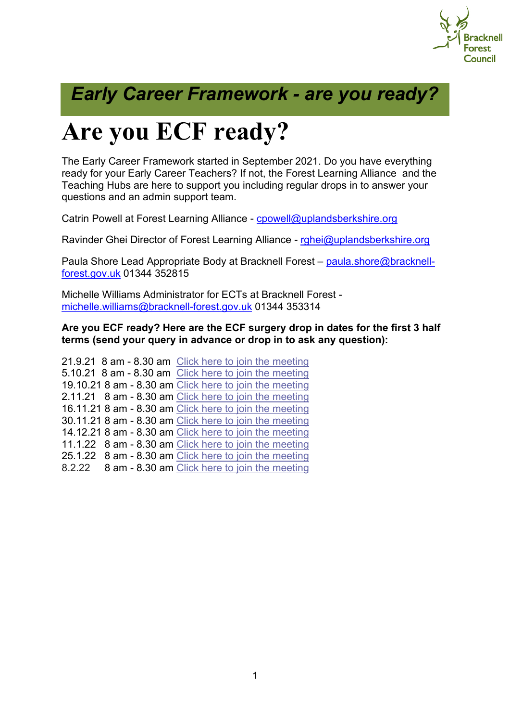

### *Early Career Framework - are you ready?*

## **Are you ECF ready?**

The Early Career Framework started in September 2021. Do you have everything ready for your Early Career Teachers? If not, the Forest Learning Alliance and the Teaching Hubs are here to support you including regular drops in to answer your questions and an admin support team.

Catrin Powell at Forest Learning Alliance - [cpowell@uplandsberkshire.org](mailto:cpowell@uplandsberkshire.org)

Ravinder Ghei Director of Forest Learning Alliance - [rghei@uplandsberkshire.org](mailto:rghei@uplandsberkshire.org)

Paula Shore Lead Appropriate Body at Bracknell Forest – [paula.shore@bracknell](mailto:paula.shore@bracknell-forest.gov.uk)[forest.gov.uk](mailto:paula.shore@bracknell-forest.gov.uk) 01344 352815

Michelle Williams Administrator for ECTs at Bracknell Forest [michelle.williams@bracknell-forest.gov.uk](mailto:michelle.williams@bracknell-forest.gov.uk) 01344 353314

#### **Are you ECF ready? Here are the ECF surgery drop in dates for the first 3 half terms (send your query in advance or drop in to ask any question):**

21.9.21 8 am - 8.30 am [Click here to join the meeting](https://teams.microsoft.com/l/meetup-join/19%3ameeting_YWVkMGMwYWQtZGRkZS00NTQwLTg2YTQtNjljNmVmNjAyMzk5%40thread.v2/0?context=%7b%22Tid%22%3a%22f54c93b7-0883-478f-bf3d-56e09b7ca0b7%22%2c%22Oid%22%3a%22bf547d8a-60c9-4d7e-94a2-7f33ed7cc838%22%7d) 5.10.21 8 am - 8.30 am [Click here to join the meeting](https://teams.microsoft.com/l/meetup-join/19%3ameeting_YWVkMGMwYWQtZGRkZS00NTQwLTg2YTQtNjljNmVmNjAyMzk5%40thread.v2/0?context=%7b%22Tid%22%3a%22f54c93b7-0883-478f-bf3d-56e09b7ca0b7%22%2c%22Oid%22%3a%22bf547d8a-60c9-4d7e-94a2-7f33ed7cc838%22%7d) 19.10.21 8 am - 8.30 am [Click here to join the meeting](https://teams.microsoft.com/l/meetup-join/19%3ameeting_YWVkMGMwYWQtZGRkZS00NTQwLTg2YTQtNjljNmVmNjAyMzk5%40thread.v2/0?context=%7b%22Tid%22%3a%22f54c93b7-0883-478f-bf3d-56e09b7ca0b7%22%2c%22Oid%22%3a%22bf547d8a-60c9-4d7e-94a2-7f33ed7cc838%22%7d) 2.11.21 8 am - 8.30 am [Click here to join the meeting](https://teams.microsoft.com/l/meetup-join/19%3ameeting_YWVkMGMwYWQtZGRkZS00NTQwLTg2YTQtNjljNmVmNjAyMzk5%40thread.v2/0?context=%7b%22Tid%22%3a%22f54c93b7-0883-478f-bf3d-56e09b7ca0b7%22%2c%22Oid%22%3a%22bf547d8a-60c9-4d7e-94a2-7f33ed7cc838%22%7d) 16.11.21 8 am - 8.30 am [Click here to join the meeting](https://teams.microsoft.com/l/meetup-join/19%3ameeting_YWVkMGMwYWQtZGRkZS00NTQwLTg2YTQtNjljNmVmNjAyMzk5%40thread.v2/0?context=%7b%22Tid%22%3a%22f54c93b7-0883-478f-bf3d-56e09b7ca0b7%22%2c%22Oid%22%3a%22bf547d8a-60c9-4d7e-94a2-7f33ed7cc838%22%7d) 30.11.21 8 am - 8.30 am [Click here to join the meeting](https://teams.microsoft.com/l/meetup-join/19%3ameeting_YWVkMGMwYWQtZGRkZS00NTQwLTg2YTQtNjljNmVmNjAyMzk5%40thread.v2/0?context=%7b%22Tid%22%3a%22f54c93b7-0883-478f-bf3d-56e09b7ca0b7%22%2c%22Oid%22%3a%22bf547d8a-60c9-4d7e-94a2-7f33ed7cc838%22%7d) 14.12.21 8 am - 8.30 am [Click here to join the meeting](https://teams.microsoft.com/l/meetup-join/19%3ameeting_YWVkMGMwYWQtZGRkZS00NTQwLTg2YTQtNjljNmVmNjAyMzk5%40thread.v2/0?context=%7b%22Tid%22%3a%22f54c93b7-0883-478f-bf3d-56e09b7ca0b7%22%2c%22Oid%22%3a%22bf547d8a-60c9-4d7e-94a2-7f33ed7cc838%22%7d) 11.1.22 8 am - 8.30 am [Click here to join the meeting](https://teams.microsoft.com/l/meetup-join/19%3ameeting_YWVkMGMwYWQtZGRkZS00NTQwLTg2YTQtNjljNmVmNjAyMzk5%40thread.v2/0?context=%7b%22Tid%22%3a%22f54c93b7-0883-478f-bf3d-56e09b7ca0b7%22%2c%22Oid%22%3a%22bf547d8a-60c9-4d7e-94a2-7f33ed7cc838%22%7d) 25.1.22 8 am - 8.30 am [Click here to join the meeting](https://teams.microsoft.com/l/meetup-join/19%3ameeting_YWVkMGMwYWQtZGRkZS00NTQwLTg2YTQtNjljNmVmNjAyMzk5%40thread.v2/0?context=%7b%22Tid%22%3a%22f54c93b7-0883-478f-bf3d-56e09b7ca0b7%22%2c%22Oid%22%3a%22bf547d8a-60c9-4d7e-94a2-7f33ed7cc838%22%7d) 8.2.22 8 am - 8.30 am [Click here to join the meeting](https://teams.microsoft.com/l/meetup-join/19%3ameeting_YWVkMGMwYWQtZGRkZS00NTQwLTg2YTQtNjljNmVmNjAyMzk5%40thread.v2/0?context=%7b%22Tid%22%3a%22f54c93b7-0883-478f-bf3d-56e09b7ca0b7%22%2c%22Oid%22%3a%22bf547d8a-60c9-4d7e-94a2-7f33ed7cc838%22%7d)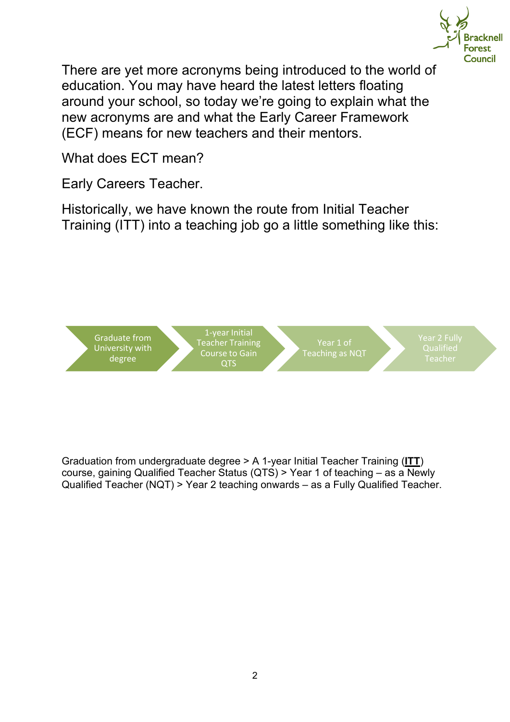

There are yet more acronyms being introduced to the world of education. You may have heard the latest letters floating around your school, so today we're going to explain what the new acronyms are and what the Early Career Framework (ECF) means for new teachers and their mentors.

What does ECT mean?

Early Careers Teacher.

Historically, we have known the route from Initial Teacher Training (ITT) into a teaching job go a little something like this:



Graduation from undergraduate degree > A 1-year Initial Teacher Training (**[ITT](https://www.southyorkshireteachinghub.org/find-a-course/)**) course, gaining Qualified Teacher Status (QTS) > Year 1 of teaching – as a Newly Qualified Teacher (NQT) > Year 2 teaching onwards – as a Fully Qualified Teacher.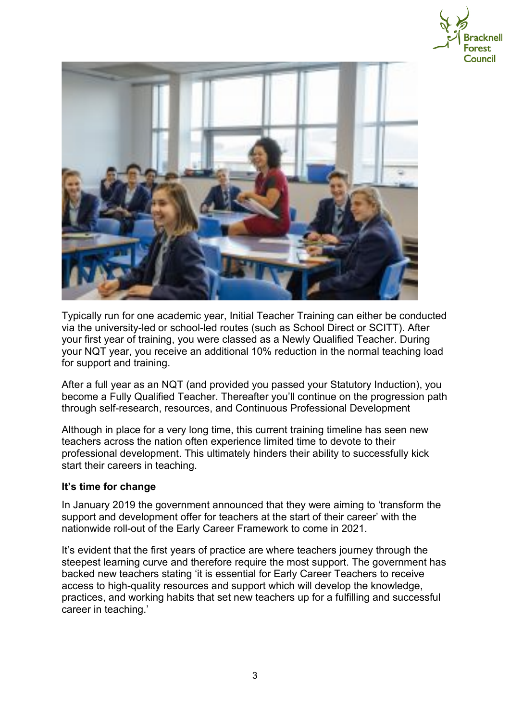



Typically run for one academic year, Initial Teacher Training can either be conducted via the university-led or school-led routes (such as School Direct or SCITT). After your first year of training, you were classed as a Newly Qualified Teacher. During your NQT year, you receive an additional 10% reduction in the normal teaching load for support and training.

After a full year as an NQT (and provided you passed your Statutory Induction), you become a Fully Qualified Teacher. Thereafter you'll continue on the progression path through self-research, resources, and Continuous Professional Development

Although in place for a very long time, this current training timeline has seen new teachers across the nation often experience limited time to devote to their professional development. This ultimately hinders their ability to successfully kick start their careers in teaching.

#### **It's time for change**

In January 2019 the government announced that they were aiming to 'transform the support and development offer for teachers at the start of their career' with the nationwide roll-out of the Early Career Framework to come in 2021.

It's evident that the first years of practice are where teachers journey through the steepest learning curve and therefore require the most support. The government has backed new teachers stating 'it is essential for Early Career Teachers to receive access to high-quality resources and support which will develop the knowledge, practices, and working habits that set new teachers up for a fulfilling and successful career in teaching.'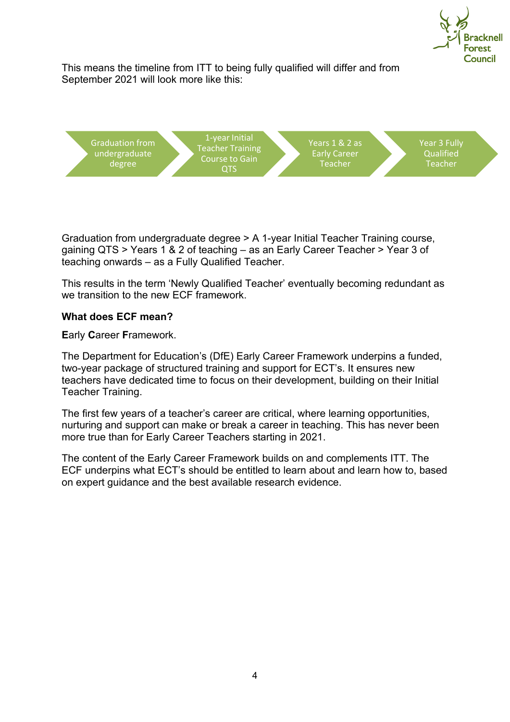

This means the timeline from ITT to being fully qualified will differ and from September 2021 will look more like this:



Graduation from undergraduate degree > A 1-year Initial Teacher Training course, gaining QTS > Years 1 & 2 of teaching – as an Early Career Teacher > Year 3 of teaching onwards – as a Fully Qualified Teacher.

This results in the term 'Newly Qualified Teacher' eventually becoming redundant as we transition to the new ECF framework.

#### **What does ECF mean?**

**E**arly **C**areer **F**ramework.

The Department for Education's (DfE) Early Career Framework underpins a funded, two-year package of structured training and support for ECT's. It ensures new teachers have dedicated time to focus on their development, building on their Initial Teacher Training.

The first few years of a teacher's career are critical, where learning opportunities, nurturing and support can make or break a career in teaching. This has never been more true than for Early Career Teachers starting in 2021.

The content of the Early Career Framework builds on and complements ITT. The ECF underpins what ECT's should be entitled to learn about and learn how to, based on expert guidance and the best available research evidence.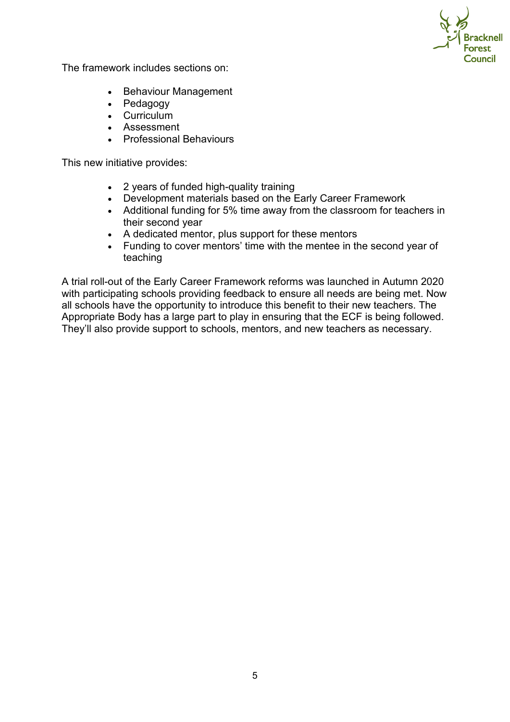

The framework includes sections on:

- Behaviour Management
- Pedagogy
- Curriculum
- Assessment
- Professional Behaviours

This new initiative provides:

- 2 years of funded high-quality training
- Development materials based on the Early Career Framework
- Additional funding for 5% time away from the classroom for teachers in their second year
- A dedicated mentor, plus support for these mentors
- Funding to cover mentors' time with the mentee in the second year of teaching

A trial roll-out of the Early Career Framework reforms was launched in Autumn 2020 with participating schools providing feedback to ensure all needs are being met. Now all schools have the opportunity to introduce this benefit to their new teachers. The Appropriate Body has a large part to play in ensuring that the ECF is being followed. They'll also provide support to schools, mentors, and new teachers as necessary.